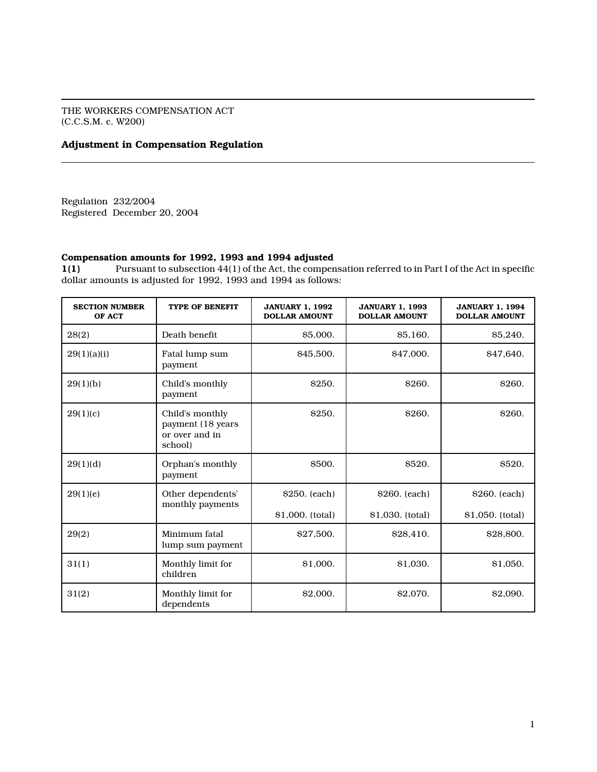THE WORKERS COMPENSATION ACT (C.C.S.M. c. W200)

# Adjustment in Compensation Regulation

Regulation 232/2004 Registered December 20, 2004

# Compensation amounts for 1992, 1993 and 1994 adjusted

1(1) Pursuant to subsection 44(1) of the Act, the compensation referred to in Part I of the Act in specific dollar amounts is adjusted for 1992, 1993 and 1994 as follows:

| <b>SECTION NUMBER</b><br>OF ACT | <b>TYPE OF BENEFIT</b>                                            | <b>JANUARY 1. 1992</b><br><b>DOLLAR AMOUNT</b> | <b>JANUARY 1, 1993</b><br><b>DOLLAR AMOUNT</b> | <b>JANUARY 1, 1994</b><br><b>DOLLAR AMOUNT</b> |
|---------------------------------|-------------------------------------------------------------------|------------------------------------------------|------------------------------------------------|------------------------------------------------|
| 28(2)                           | Death benefit                                                     | \$5,000.                                       | \$5,160.                                       | \$5,240.                                       |
| 29(1)(a)(i)                     | Fatal lump sum<br>payment                                         | \$45,500.                                      | \$47,000.                                      | \$47.640.                                      |
| 29(1)(b)                        | Child's monthly<br>payment                                        | \$250.                                         | <b>\$260.</b>                                  | <b>S260.</b>                                   |
| 29(1)(c)                        | Child's monthly<br>payment (18 years<br>or over and in<br>school) | <b>S250.</b>                                   | <b>S260.</b>                                   | <b>S260.</b>                                   |
| 29(1)(d)                        | Orphan's monthly<br>payment                                       | \$500.                                         | \$520.                                         | <b>\$520.</b>                                  |
| 29(1)(e)                        | Other dependents'                                                 | \$250. (each)                                  | \$260. (each)                                  | \$260. (each)                                  |
|                                 | monthly payments                                                  | \$1,000. (total)                               | \$1,030. (total)                               | \$1,050. (total)                               |
| 29(2)                           | Minimum fatal<br>lump sum payment                                 | \$27,500.                                      | \$28,410.                                      | \$28,800.                                      |
| 31(1)                           | Monthly limit for<br>children                                     | \$1,000.                                       | \$1,030.                                       | \$1.050.                                       |
| 31(2)                           | Monthly limit for<br>dependents                                   | \$2,000.                                       | \$2,070.                                       | \$2,090.                                       |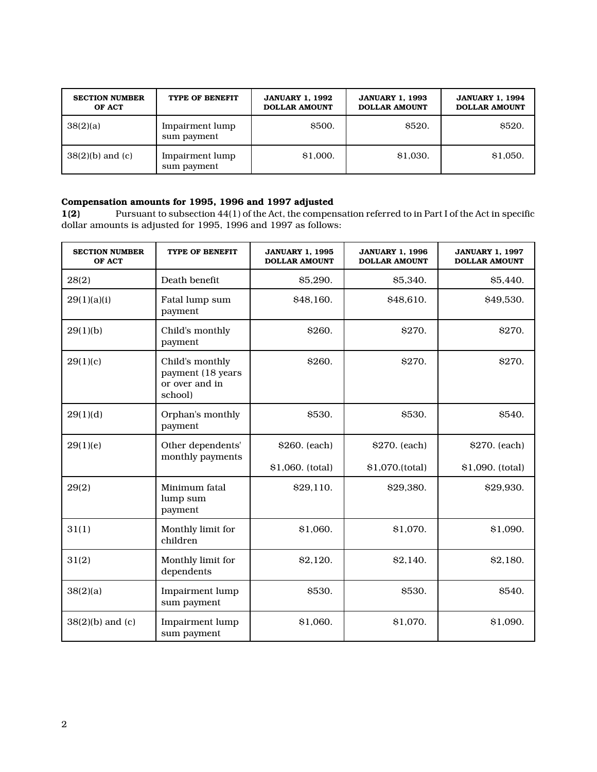| <b>SECTION NUMBER</b><br>OF ACT | TYPE OF BENEFIT                | <b>JANUARY 1, 1992</b><br><b>DOLLAR AMOUNT</b> | <b>JANUARY 1, 1993</b><br><b>DOLLAR AMOUNT</b> | <b>JANUARY 1, 1994</b><br><b>DOLLAR AMOUNT</b> |
|---------------------------------|--------------------------------|------------------------------------------------|------------------------------------------------|------------------------------------------------|
| 38(2)(a)                        | Impairment lump<br>sum payment | <b>\$500.</b>                                  | <b>\$520.</b>                                  | <b>\$520.</b>                                  |
| $38(2)(b)$ and (c)              | Impairment lump<br>sum payment | \$1,000.                                       | \$1,030.                                       | \$1,050.                                       |

Compensation amounts for 1995, 1996 and 1997 adjusted 1(2) Pursuant to subsection 44(1) of the Act, the compen Pursuant to subsection 44(1) of the Act, the compensation referred to in Part I of the Act in specific dollar amounts is adjusted for 1995, 1996 and 1997 as follows:

| <b>SECTION NUMBER</b><br>OF ACT | TYPE OF BENEFIT                                                   | <b>JANUARY 1, 1995</b><br><b>DOLLAR AMOUNT</b> | <b>JANUARY 1, 1996</b><br><b>DOLLAR AMOUNT</b> | <b>JANUARY 1, 1997</b><br><b>DOLLAR AMOUNT</b> |
|---------------------------------|-------------------------------------------------------------------|------------------------------------------------|------------------------------------------------|------------------------------------------------|
| 28(2)                           | Death benefit                                                     | \$5,290.                                       | \$5,340.                                       | \$5,440.                                       |
| 29(1)(a)(i)                     | Fatal lump sum<br>payment                                         | \$48,160.                                      | \$48,610.                                      | \$49,530.                                      |
| 29(1)(b)                        | Child's monthly<br>payment                                        | \$260.                                         | \$270.                                         | \$270.                                         |
| 29(1)(c)                        | Child's monthly<br>payment (18 years<br>or over and in<br>school) | <b>\$260.</b>                                  | \$270.                                         | \$270.                                         |
| 29(1)(d)                        | Orphan's monthly<br>payment                                       | \$530.                                         | \$530.                                         | \$540.                                         |
| 29(1)(e)                        | Other dependents'                                                 | \$260. (each)                                  | \$270. (each)                                  | \$270. (each)                                  |
|                                 | monthly payments                                                  | \$1,060. (total)                               | \$1,070.(total)                                | \$1,090. (total)                               |
| 29(2)                           | Minimum fatal<br>lump sum<br>payment                              | \$29,110.                                      | \$29,380.                                      | \$29,930.                                      |
| 31(1)                           | Monthly limit for<br>children                                     | \$1,060.                                       | \$1,070.                                       | \$1,090.                                       |
| 31(2)                           | Monthly limit for<br>dependents                                   | \$2,120.                                       | \$2,140.                                       | \$2,180.                                       |
| 38(2)(a)                        | Impairment lump<br>sum payment                                    | \$530.                                         | \$530.                                         | \$540.                                         |
| $38(2)(b)$ and (c)              | Impairment lump<br>sum payment                                    | \$1,060.                                       | \$1,070.                                       | \$1,090.                                       |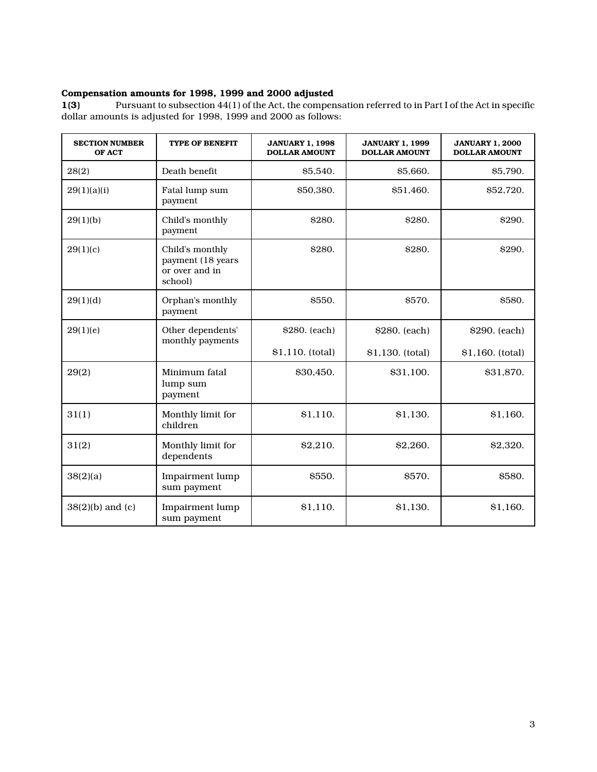# Compensation amounts for 1998, 1999 and 2000 adjusted<br>1(3) Pursuant to subsection 44(1) of the Act, the compen

Pursuant to subsection 44(1) of the Act, the compensation referred to in Part I of the Act in specific dollar amounts is adjusted for 1998, 1999 and 2000 as follows:

| <b>SECTION NUMBER</b><br>OF ACT | <b>TYPE OF BENEFIT</b>                                            | <b>JANUARY 1, 1998</b><br><b>DOLLAR AMOUNT</b> | <b>JANUARY 1, 1999</b><br><b>DOLLAR AMOUNT</b> | <b>JANUARY 1, 2000</b><br><b>DOLLAR AMOUNT</b> |
|---------------------------------|-------------------------------------------------------------------|------------------------------------------------|------------------------------------------------|------------------------------------------------|
| 28(2)                           | Death benefit                                                     | \$5,540.                                       | \$5,660.                                       | \$5,790.                                       |
| 29(1)(a)(i)                     | Fatal lump sum<br>payment                                         | \$50,380.                                      | \$51,460.                                      | \$52,720.                                      |
| 29(1)(b)                        | Child's monthly<br>payment                                        | \$280.                                         | \$280.                                         | \$290.                                         |
| 29(1)(c)                        | Child's monthly<br>payment (18 years<br>or over and in<br>school) | \$280.                                         | \$280.                                         | \$290.                                         |
| 29(1)(d)                        | Orphan's monthly<br>payment                                       | \$550.                                         | \$570.                                         | \$580.                                         |
| 29(1)(e)                        | Other dependents'<br>monthly payments                             | \$280. (each)                                  | \$280. (each)                                  | \$290. (each)                                  |
|                                 |                                                                   | $$1,110.$ (total)                              | \$1,130. (total)                               | \$1,160. (total)                               |
| 29(2)                           | Minimum fatal<br>lump sum<br>payment                              | \$30,450.                                      | \$31,100.                                      | \$31,870.                                      |
| 31(1)                           | Monthly limit for<br>children                                     | \$1,110.                                       | \$1,130.                                       | \$1,160.                                       |
| 31(2)                           | Monthly limit for<br>dependents                                   | \$2,210.                                       | \$2,260.                                       | \$2,320.                                       |
| 38(2)(a)                        | Impairment lump<br>sum payment                                    | \$550.                                         | \$570.                                         | \$580.                                         |
| $38(2)(b)$ and (c)              | Impairment lump<br>sum payment                                    | \$1,110.                                       | \$1,130.                                       | \$1,160.                                       |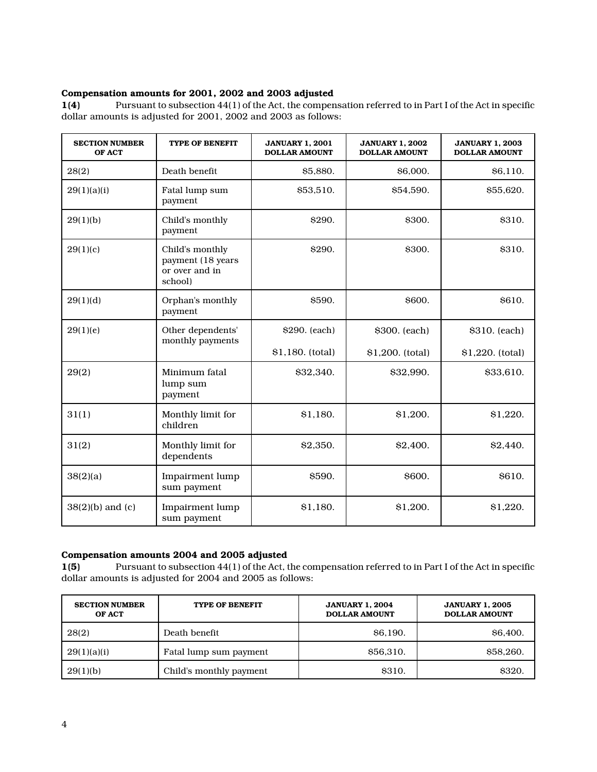# Compensation amounts for 2001, 2002 and 2003 adjusted

1(4) Pursuant to subsection 44(1) of the Act, the compensation referred to in Part I of the Act in specific dollar amounts is adjusted for 2001, 2002 and 2003 as follows:

| <b>SECTION NUMBER</b><br>OF ACT | <b>TYPE OF BENEFIT</b>                                            | <b>JANUARY 1, 2001</b><br><b>DOLLAR AMOUNT</b> | <b>JANUARY 1, 2002</b><br><b>DOLLAR AMOUNT</b> | <b>JANUARY 1, 2003</b><br><b>DOLLAR AMOUNT</b> |
|---------------------------------|-------------------------------------------------------------------|------------------------------------------------|------------------------------------------------|------------------------------------------------|
| 28(2)                           | Death benefit                                                     | \$5,880.                                       | \$6,000.                                       | \$6,110.                                       |
| 29(1)(a)(i)                     | Fatal lump sum<br>payment                                         | \$53,510.                                      | \$54,590.                                      | \$55,620.                                      |
| 29(1)(b)                        | Child's monthly<br>payment                                        | <b>S290.</b>                                   | <b>\$300.</b>                                  | \$310.                                         |
| 29(1)(c)                        | Child's monthly<br>payment (18 years<br>or over and in<br>school) | \$290.                                         | \$300.                                         | <b>\$310.</b>                                  |
| 29(1)(d)                        | Orphan's monthly<br>payment                                       | \$590.                                         | <b>S600.</b>                                   | <b>\$610.</b>                                  |
| 29(1)(e)                        | Other dependents'<br>monthly payments                             | \$290. (each)                                  | \$300. (each)                                  | \$310. (each)                                  |
|                                 |                                                                   | \$1,180. (total)                               | \$1,200. (total)                               | \$1,220. (total)                               |
| 29(2)                           | Minimum fatal<br>lump sum<br>payment                              | \$32,340.                                      | \$32,990.                                      | \$33,610.                                      |
| 31(1)                           | Monthly limit for<br>children                                     | \$1,180.                                       | \$1,200.                                       | \$1,220.                                       |
| 31(2)                           | Monthly limit for<br>dependents                                   | \$2,350.                                       | \$2,400.                                       | \$2,440.                                       |
| 38(2)(a)                        | Impairment lump<br>sum payment                                    | \$590.                                         | \$600.                                         | \$610.                                         |
| $38(2)(b)$ and (c)              | Impairment lump<br>sum payment                                    | \$1,180.                                       | \$1,200.                                       | \$1,220.                                       |

## Compensation amounts 2004 and 2005 adjusted

1(5) Pursuant to subsection 44(1) of the Act, the compensation referred to in Part I of the Act in specific dollar amounts is adjusted for 2004 and 2005 as follows:

| <b>SECTION NUMBER</b><br>OF ACT | <b>TYPE OF BENEFIT</b>  | <b>JANUARY 1.2004</b><br><b>DOLLAR AMOUNT</b> | <b>JANUARY 1, 2005</b><br><b>DOLLAR AMOUNT</b> |
|---------------------------------|-------------------------|-----------------------------------------------|------------------------------------------------|
| 28(2)                           | Death benefit           | <b>S6.190.</b>                                | <b>S6.400.</b>                                 |
| 29(1)(a)(i)                     | Fatal lump sum payment  | \$56,310.                                     | \$58,260.                                      |
| 29(1)(b)                        | Child's monthly payment | <b>\$310.</b>                                 | <b>\$320.</b>                                  |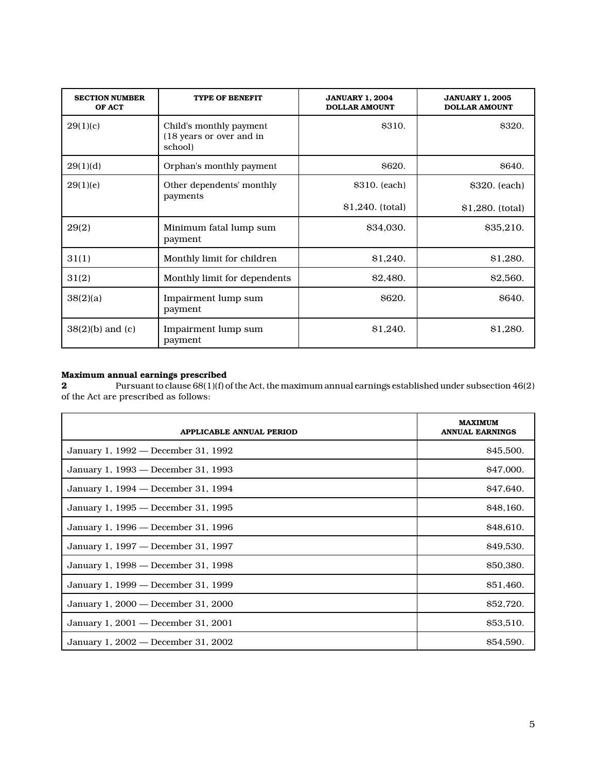| <b>SECTION NUMBER</b><br>OF ACT | <b>TYPE OF BENEFIT</b>                                         | <b>JANUARY 1, 2004</b><br><b>DOLLAR AMOUNT</b> | <b>JANUARY 1, 2005</b><br><b>DOLLAR AMOUNT</b> |
|---------------------------------|----------------------------------------------------------------|------------------------------------------------|------------------------------------------------|
| 29(1)(c)                        | Child's monthly payment<br>(18 years or over and in<br>school) | \$310.                                         | \$320.                                         |
| 29(1)(d)                        | Orphan's monthly payment                                       | \$620.                                         | \$640.                                         |
| 29(1)(e)                        | Other dependents' monthly<br>payments                          | \$310. (each)                                  | \$320. (each)                                  |
|                                 |                                                                | $$1,240.$ (total)                              | \$1,280. (total)                               |
| 29(2)                           | Minimum fatal lump sum<br>payment                              | \$34,030.                                      | \$35,210.                                      |
| 31(1)                           | Monthly limit for children                                     | \$1,240.                                       | \$1,280.                                       |
| 31(2)                           | Monthly limit for dependents                                   | \$2,480.                                       | \$2,560.                                       |
| 38(2)(a)                        | Impairment lump sum<br>payment                                 | \$620.                                         | <b>S640.</b>                                   |
| $38(2)(b)$ and (c)              | Impairment lump sum<br>payment                                 | \$1,240.                                       | \$1,280.                                       |

#### Maximum annual earnings prescribed

 $\, {\bf 2} \qquad \qquad \, \text{Pursuant to clause 68(1)(f) of the Act, the maximum annual earnings established under subsection 46(2)}$ of the Act are prescribed as follows:

| APPLICABLE ANNUAL PERIOD            | <b>MAXIMUM</b><br><b>ANNUAL EARNINGS</b> |
|-------------------------------------|------------------------------------------|
| January 1, 1992 — December 31, 1992 | \$45,500.                                |
| January 1, 1993 — December 31, 1993 | \$47,000.                                |
| January 1, 1994 — December 31, 1994 | \$47,640.                                |
| January 1, 1995 — December 31, 1995 | \$48,160.                                |
| January 1, 1996 — December 31, 1996 | \$48,610.                                |
| January 1, 1997 — December 31, 1997 | \$49,530.                                |
| January 1, 1998 — December 31, 1998 | \$50,380.                                |
| January 1, 1999 — December 31, 1999 | \$51,460.                                |
| January 1, 2000 - December 31, 2000 | \$52,720.                                |
| January 1, 2001 — December 31, 2001 | \$53,510.                                |
| January 1, 2002 — December 31, 2002 | \$54,590.                                |